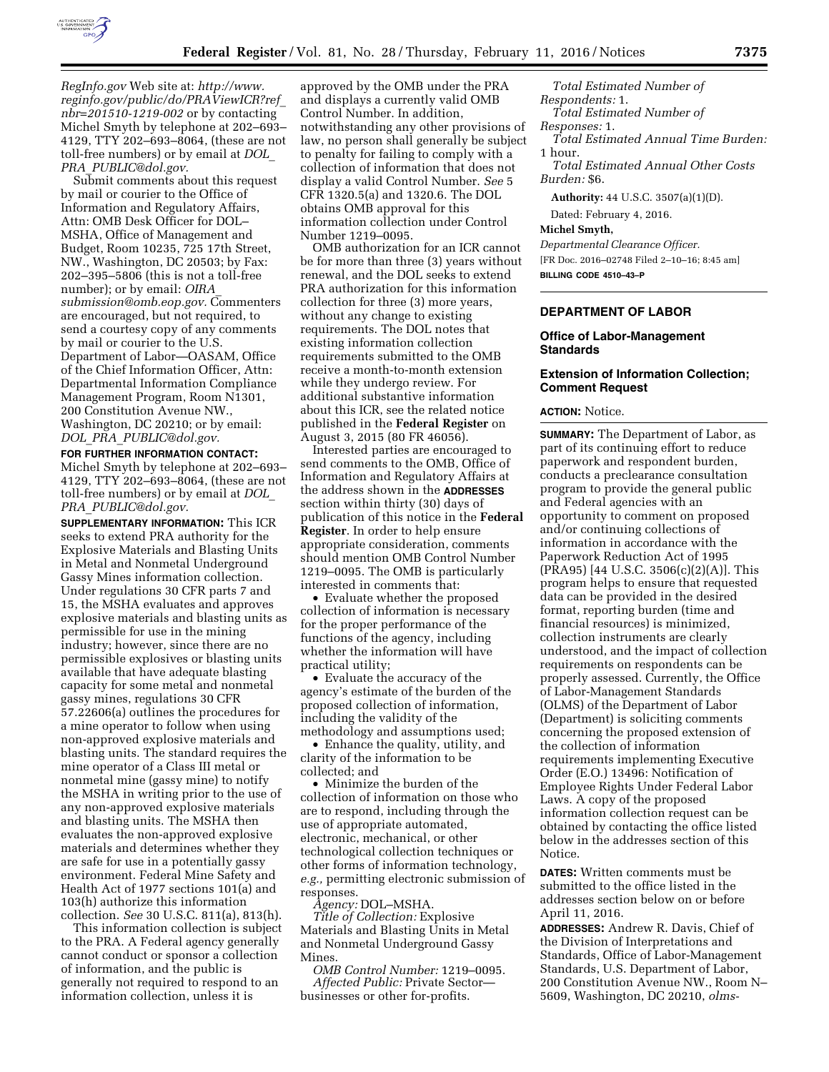

*RegInfo.gov* Web site at: *[http://www.](http://www.reginfo.gov/public/do/PRAViewICR?ref_nbr=201510-1219-002) [reginfo.gov/public/do/PRAViewICR?ref](http://www.reginfo.gov/public/do/PRAViewICR?ref_nbr=201510-1219-002)*\_ *[nbr=201510-1219-002](http://www.reginfo.gov/public/do/PRAViewICR?ref_nbr=201510-1219-002)* or by contacting Michel Smyth by telephone at 202–693– 4129, TTY 202–693–8064, (these are not toll-free numbers) or by email at *[DOL](mailto:DOL_PRA_PUBLIC@dol.gov)*\_ *PRA*\_*[PUBLIC@dol.gov.](mailto:DOL_PRA_PUBLIC@dol.gov)* 

Submit comments about this request by mail or courier to the Office of Information and Regulatory Affairs, Attn: OMB Desk Officer for DOL– MSHA, Office of Management and Budget, Room 10235, 725 17th Street, NW., Washington, DC 20503; by Fax: 202–395–5806 (this is not a toll-free number); or by email: *[OIRA](mailto:OIRA_submission@omb.eop.gov)*\_ *[submission@omb.eop.gov.](mailto:OIRA_submission@omb.eop.gov)* Commenters are encouraged, but not required, to send a courtesy copy of any comments by mail or courier to the U.S. Department of Labor—OASAM, Office of the Chief Information Officer, Attn: Departmental Information Compliance Management Program, Room N1301, 200 Constitution Avenue NW., Washington, DC 20210; or by email: *DOL*\_*PRA*\_*[PUBLIC@dol.gov.](mailto:DOL_PRA_PUBLIC@dol.gov)* 

**FOR FURTHER INFORMATION CONTACT:**  Michel Smyth by telephone at 202–693– 4129, TTY 202–693–8064, (these are not toll-free numbers) or by email at *[DOL](mailto:DOL_PRA_PUBLIC@dol.gov)*\_ *PRA*\_*[PUBLIC@dol.gov.](mailto:DOL_PRA_PUBLIC@dol.gov)* 

**SUPPLEMENTARY INFORMATION:** This ICR seeks to extend PRA authority for the Explosive Materials and Blasting Units in Metal and Nonmetal Underground Gassy Mines information collection. Under regulations 30 CFR parts 7 and 15, the MSHA evaluates and approves explosive materials and blasting units as permissible for use in the mining industry; however, since there are no permissible explosives or blasting units available that have adequate blasting capacity for some metal and nonmetal gassy mines, regulations 30 CFR 57.22606(a) outlines the procedures for a mine operator to follow when using non-approved explosive materials and blasting units. The standard requires the mine operator of a Class III metal or nonmetal mine (gassy mine) to notify the MSHA in writing prior to the use of any non-approved explosive materials and blasting units. The MSHA then evaluates the non-approved explosive materials and determines whether they are safe for use in a potentially gassy environment. Federal Mine Safety and Health Act of 1977 sections 101(a) and 103(h) authorize this information collection. *See* 30 U.S.C. 811(a), 813(h).

This information collection is subject to the PRA. A Federal agency generally cannot conduct or sponsor a collection of information, and the public is generally not required to respond to an information collection, unless it is

approved by the OMB under the PRA and displays a currently valid OMB Control Number. In addition, notwithstanding any other provisions of law, no person shall generally be subject to penalty for failing to comply with a collection of information that does not display a valid Control Number. *See* 5 CFR 1320.5(a) and 1320.6. The DOL obtains OMB approval for this information collection under Control Number 1219–0095.

OMB authorization for an ICR cannot be for more than three (3) years without renewal, and the DOL seeks to extend PRA authorization for this information collection for three (3) more years, without any change to existing requirements. The DOL notes that existing information collection requirements submitted to the OMB receive a month-to-month extension while they undergo review. For additional substantive information about this ICR, see the related notice published in the **Federal Register** on August 3, 2015 (80 FR 46056).

Interested parties are encouraged to send comments to the OMB, Office of Information and Regulatory Affairs at the address shown in the **ADDRESSES** section within thirty (30) days of publication of this notice in the **Federal Register**. In order to help ensure appropriate consideration, comments should mention OMB Control Number 1219–0095. The OMB is particularly interested in comments that:

• Evaluate whether the proposed collection of information is necessary for the proper performance of the functions of the agency, including whether the information will have practical utility;

• Evaluate the accuracy of the agency's estimate of the burden of the proposed collection of information, including the validity of the methodology and assumptions used;

• Enhance the quality, utility, and clarity of the information to be collected; and

• Minimize the burden of the collection of information on those who are to respond, including through the use of appropriate automated, electronic, mechanical, or other technological collection techniques or other forms of information technology, *e.g.,* permitting electronic submission of responses.

*Agency:* DOL–MSHA.

*Title of Collection:* Explosive Materials and Blasting Units in Metal and Nonmetal Underground Gassy **Mines**.

*OMB Control Number:* 1219–0095. *Affected Public:* Private Sector businesses or other for-profits.

*Total Estimated Number of Respondents:* 1. *Total Estimated Number of Responses:* 1. *Total Estimated Annual Time Burden:*  1 hour.

*Total Estimated Annual Other Costs Burden:* \$6.

**Authority:** 44 U.S.C. 3507(a)(1)(D).

Dated: February 4, 2016.

## **Michel Smyth,**

*Departmental Clearance Officer.*  [FR Doc. 2016–02748 Filed 2–10–16; 8:45 am] **BILLING CODE 4510–43–P** 

# **DEPARTMENT OF LABOR**

### **Office of Labor-Management Standards**

## **Extension of Information Collection; Comment Request**

#### **ACTION:** Notice.

**SUMMARY:** The Department of Labor, as part of its continuing effort to reduce paperwork and respondent burden, conducts a preclearance consultation program to provide the general public and Federal agencies with an opportunity to comment on proposed and/or continuing collections of information in accordance with the Paperwork Reduction Act of 1995 (PRA95) [44 U.S.C. 3506(c)(2)(A)]. This program helps to ensure that requested data can be provided in the desired format, reporting burden (time and financial resources) is minimized, collection instruments are clearly understood, and the impact of collection requirements on respondents can be properly assessed. Currently, the Office of Labor-Management Standards (OLMS) of the Department of Labor (Department) is soliciting comments concerning the proposed extension of the collection of information requirements implementing Executive Order (E.O.) 13496: Notification of Employee Rights Under Federal Labor Laws. A copy of the proposed information collection request can be obtained by contacting the office listed below in the addresses section of this **Notice** 

**DATES:** Written comments must be submitted to the office listed in the addresses section below on or before April 11, 2016.

**ADDRESSES:** Andrew R. Davis, Chief of the Division of Interpretations and Standards, Office of Labor-Management Standards, U.S. Department of Labor, 200 Constitution Avenue NW., Room N– 5609, Washington, DC 20210, *olms-*